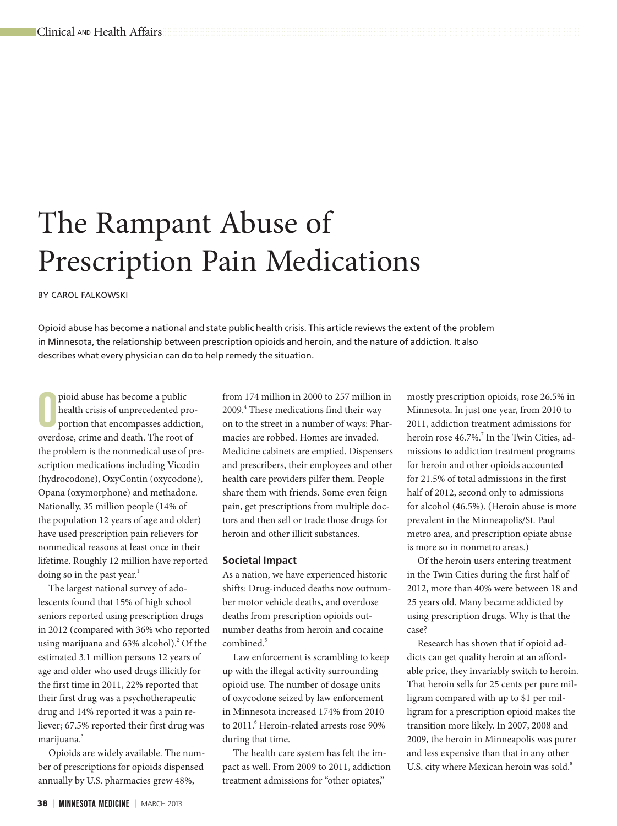# The Rampant Abuse of Prescription Pain Medications

BY CAROL FALKOWSKI

Opioid abuse has become a national and state public health crisis. This article reviews the extent of the problem in Minnesota, the relationship between prescription opioids and heroin, and the nature of addiction. It also describes what every physician can do to help remedy the situation.

pioid abuse has become a public<br>health crisis of unprecedented pro<br>portion that encompasses addiction<br>overdose, crime and death. The root of pioid abuse has become a public health crisis of unprecedented proportion that encompasses addiction, the problem is the nonmedical use of prescription medications including Vicodin (hydrocodone), OxyContin (oxycodone), Opana (oxymorphone) and methadone. Nationally, 35 million people (14% of the population 12 years of age and older) have used prescription pain relievers for nonmedical reasons at least once in their lifetime. Roughly 12 million have reported doing so in the past year.<sup>1</sup>

The largest national survey of adolescents found that 15% of high school seniors reported using prescription drugs in 2012 (compared with 36% who reported using marijuana and 63% alcohol).<sup>2</sup> Of the estimated 3.1 million persons 12 years of age and older who used drugs illicitly for the first time in 2011, 22% reported that their first drug was a psychotherapeutic drug and 14% reported it was a pain reliever; 67.5% reported their first drug was marijuana.<sup>3</sup>

Opioids are widely available. The number of prescriptions for opioids dispensed annually by U.S. pharmacies grew 48%,

from 174 million in 2000 to 257 million in 2009.<sup>4</sup> These medications find their way on to the street in a number of ways: Pharmacies are robbed. Homes are invaded. Medicine cabinets are emptied. Dispensers and prescribers, their employees and other health care providers pilfer them. People share them with friends. Some even feign pain, get prescriptions from multiple doctors and then sell or trade those drugs for heroin and other illicit substances.

## **Societal Impact**

As a nation, we have experienced historic shifts: Drug-induced deaths now outnumber motor vehicle deaths, and overdose deaths from prescription opioids outnumber deaths from heroin and cocaine  $combined<sup>5</sup>$ 

Law enforcement is scrambling to keep up with the illegal activity surrounding opioid use. The number of dosage units of oxycodone seized by law enforcement in Minnesota increased 174% from 2010 to 2011. Heroin-related arrests rose 90% during that time.

The health care system has felt the impact as well. From 2009 to 2011, addiction treatment admissions for "other opiates,"

mostly prescription opioids, rose 26.5% in Minnesota. In just one year, from 2010 to 2011, addiction treatment admissions for heroin rose 46.7%.<sup>7</sup> In the Twin Cities, admissions to addiction treatment programs for heroin and other opioids accounted for 21.5% of total admissions in the first half of 2012, second only to admissions for alcohol (46.5%). (Heroin abuse is more prevalent in the Minneapolis/St. Paul metro area, and prescription opiate abuse is more so in nonmetro areas.)

Of the heroin users entering treatment in the Twin Cities during the first half of 2012, more than 40% were between 18 and 25 years old. Many became addicted by using prescription drugs. Why is that the case?

Research has shown that if opioid addicts can get quality heroin at an affordable price, they invariably switch to heroin. That heroin sells for 25 cents per pure milligram compared with up to \$1 per milligram for a prescription opioid makes the transition more likely. In 2007, 2008 and 2009, the heroin in Minneapolis was purer and less expensive than that in any other U.S. city where Mexican heroin was sold.<sup>8</sup>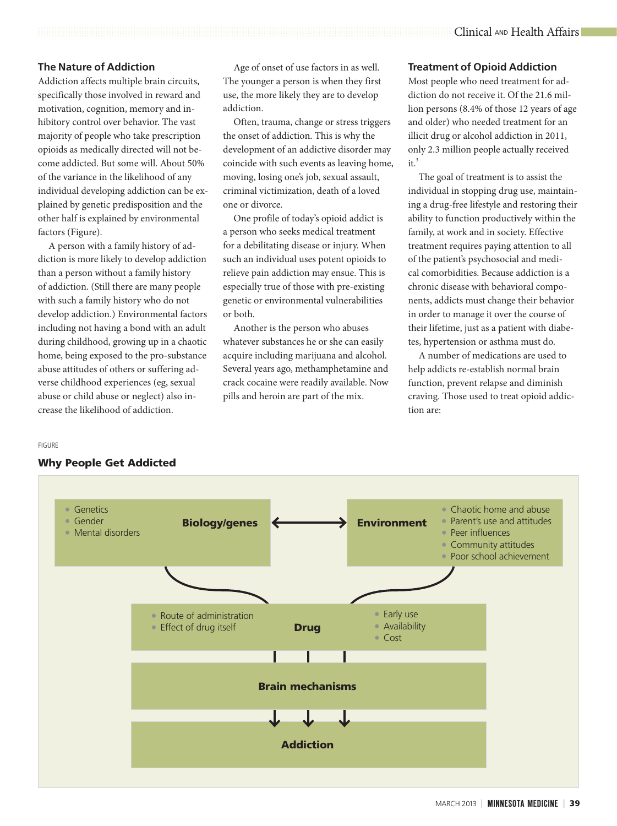## **The Nature of Addiction**

Addiction affects multiple brain circuits, specifically those involved in reward and motivation, cognition, memory and inhibitory control over behavior. The vast majority of people who take prescription opioids as medically directed will not become addicted. But some will. About 50% of the variance in the likelihood of any individual developing addiction can be explained by genetic predisposition and the other half is explained by environmental factors (Figure).

A person with a family history of addiction is more likely to develop addiction than a person without a family history of addiction. (Still there are many people with such a family history who do not develop addiction.) Environmental factors including not having a bond with an adult during childhood, growing up in a chaotic home, being exposed to the pro-substance abuse attitudes of others or suffering adverse childhood experiences (eg, sexual abuse or child abuse or neglect) also increase the likelihood of addiction.

Age of onset of use factors in as well. The younger a person is when they first use, the more likely they are to develop addiction.

Often, trauma, change or stress triggers the onset of addiction. This is why the development of an addictive disorder may coincide with such events as leaving home, moving, losing one's job, sexual assault, criminal victimization, death of a loved one or divorce.

One profile of today's opioid addict is a person who seeks medical treatment for a debilitating disease or injury. When such an individual uses potent opioids to relieve pain addiction may ensue. This is especially true of those with pre-existing genetic or environmental vulnerabilities or both.

Another is the person who abuses whatever substances he or she can easily acquire including marijuana and alcohol. Several years ago, methamphetamine and crack cocaine were readily available. Now pills and heroin are part of the mix.

## **Treatment of Opioid Addiction**

Most people who need treatment for addiction do not receive it. Of the 21.6 million persons (8.4% of those 12 years of age and older) who needed treatment for an illicit drug or alcohol addiction in 2011, only 2.3 million people actually received  $it.<sup>3</sup>$ 

The goal of treatment is to assist the individual in stopping drug use, maintaining a drug-free lifestyle and restoring their ability to function productively within the family, at work and in society. Effective treatment requires paying attention to all of the patient's psychosocial and medical comorbidities. Because addiction is a chronic disease with behavioral components, addicts must change their behavior in order to manage it over the course of their lifetime, just as a patient with diabetes, hypertension or asthma must do.

A number of medications are used to help addicts re-establish normal brain function, prevent relapse and diminish craving. Those used to treat opioid addiction are:

#### FIGURE

## Why People Get Addicted

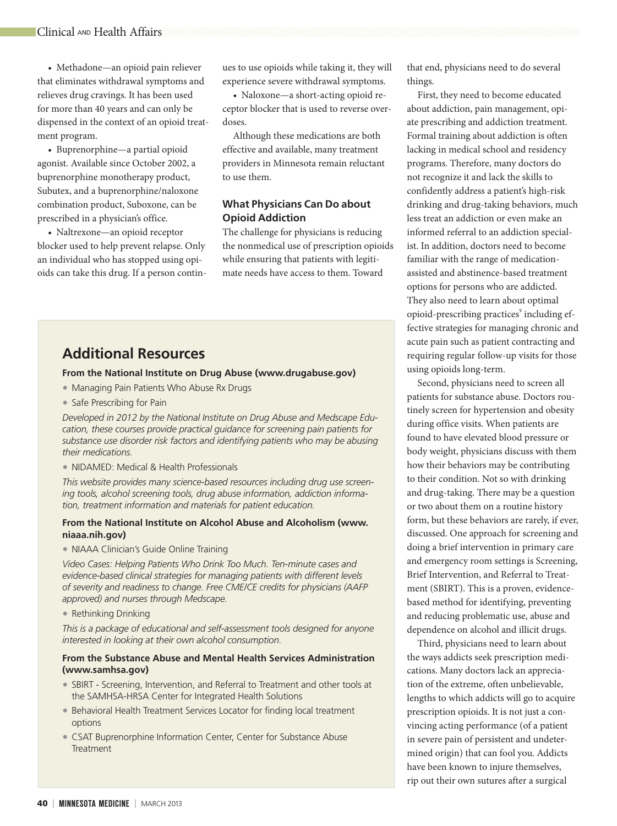• Methadone—an opioid pain reliever that eliminates withdrawal symptoms and relieves drug cravings. It has been used for more than 40 years and can only be dispensed in the context of an opioid treatment program.

• Buprenorphine—a partial opioid agonist. Available since October 2002, a buprenorphine monotherapy product, Subutex, and a buprenorphine/naloxone combination product, Suboxone, can be prescribed in a physician's office.

• Naltrexone—an opioid receptor blocker used to help prevent relapse. Only an individual who has stopped using opioids can take this drug. If a person continues to use opioids while taking it, they will experience severe withdrawal symptoms.

• Naloxone—a short-acting opioid receptor blocker that is used to reverse overdoses.

Although these medications are both effective and available, many treatment providers in Minnesota remain reluctant to use them.

## **What Physicians Can Do about Opioid Addiction**

The challenge for physicians is reducing the nonmedical use of prescription opioids while ensuring that patients with legitimate needs have access to them. Toward

## **Additional Resources**

## **From the National Institute on Drug Abuse ([www.drugabuse.gov\)](http://www.drugabuse.gov)**

- Managing Pain Patients Who Abuse Rx Drugs
- Safe Prescribing for Pain

*Developed in 2012 by the National Institute on Drug Abuse and Medscape Education, these courses provide practical guidance for screening pain patients for substance use disorder risk factors and identifying patients who may be abusing their medications.*

• NIDAMED: Medical & Health Professionals

*This website provides many science-based resources including drug use screening tools, alcohol screening tools, drug abuse information, addiction information, treatment information and materials for patient education.* 

## **From the National Institute on Alcohol Abuse and Alcoholism [\(www.](http://www.niaaa.nih.gov) [niaaa.nih.gov\)](http://www.niaaa.nih.gov)**

• NIAAA Clinician's Guide Online Training

*Video Cases: Helping Patients Who Drink Too Much. Ten-minute cases and evidence-based clinical strategies for managing patients with different levels of severity and readiness to change. Free CME/CE credits for physicians (AAFP approved) and nurses through Medscape.*

• Rethinking Drinking

*This is a package of educational and self-assessment tools designed for anyone interested in looking at their own alcohol consumption.*

## **From the Substance Abuse and Mental Health Services Administration ([www.samhsa.gov\)](http://www.samhsa.gov)**

- SBIRT Screening, Intervention, and Referral to Treatment and other tools at the SAMHSA-HRSA Center for Integrated Health Solutions
- Behavioral Health Treatment Services Locator for finding local treatment options
- CSAT Buprenorphine Information Center, Center for Substance Abuse **Treatment**

that end, physicians need to do several things.

First, they need to become educated about addiction, pain management, opiate prescribing and addiction treatment. Formal training about addiction is often lacking in medical school and residency programs. Therefore, many doctors do not recognize it and lack the skills to confidently address a patient's high-risk drinking and drug-taking behaviors, much less treat an addiction or even make an informed referral to an addiction specialist. In addition, doctors need to become familiar with the range of medicationassisted and abstinence-based treatment options for persons who are addicted. They also need to learn about optimal opioid-prescribing practices<sup>9</sup> including effective strategies for managing chronic and acute pain such as patient contracting and requiring regular follow-up visits for those using opioids long-term.

Second, physicians need to screen all patients for substance abuse. Doctors routinely screen for hypertension and obesity during office visits. When patients are found to have elevated blood pressure or body weight, physicians discuss with them how their behaviors may be contributing to their condition. Not so with drinking and drug-taking. There may be a question or two about them on a routine history form, but these behaviors are rarely, if ever, discussed. One approach for screening and doing a brief intervention in primary care and emergency room settings is Screening, Brief Intervention, and Referral to Treatment (SBIRT). This is a proven, evidencebased method for identifying, preventing and reducing problematic use, abuse and dependence on alcohol and illicit drugs.

Third, physicians need to learn about the ways addicts seek prescription medications. Many doctors lack an appreciation of the extreme, often unbelievable, lengths to which addicts will go to acquire prescription opioids. It is not just a convincing acting performance (of a patient in severe pain of persistent and undetermined origin) that can fool you. Addicts have been known to injure themselves, rip out their own sutures after a surgical